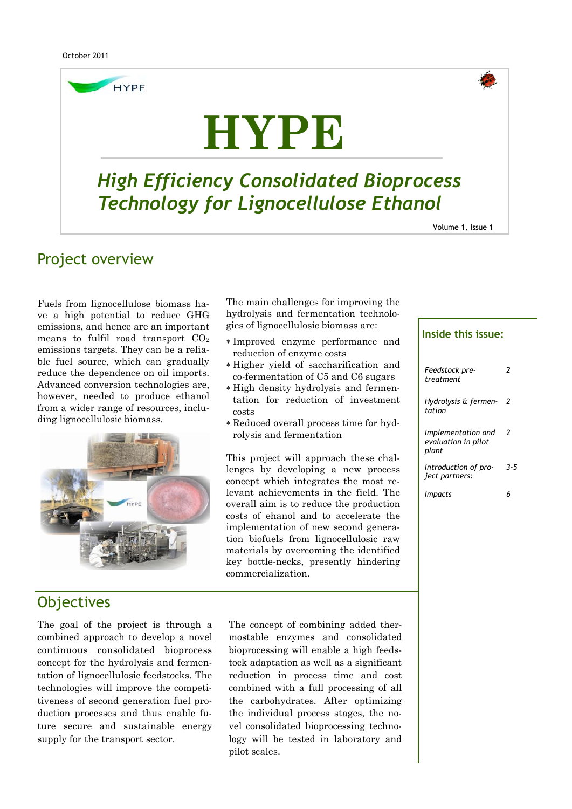

# **HYPE**

## *High Efficiency Consolidated Bioprocess Technology for Lignocellulose Ethanol*

Volume 1, Issue 1

#### Project overview

Fuels from lignocellulose biomass have a high potential to reduce GHG emissions, and hence are an important means to fulfil road transport  $CO<sub>2</sub>$ emissions targets. They can be a reliable fuel source, which can gradually reduce the dependence on oil imports. Advanced conversion technologies are, however, needed to produce ethanol from a wider range of resources, including lignocellulosic biomass.



#### **Objectives**

The goal of the project is through a combined approach to develop a novel continuous consolidated bioprocess concept for the hydrolysis and fermentation of lignocellulosic feedstocks. The technologies will improve the competitiveness of second generation fuel production processes and thus enable future secure and sustainable energy supply for the transport sector.

The main challenges for improving the hydrolysis and fermentation technologies of lignocellulosic biomass are:

- Improved enzyme performance and reduction of enzyme costs
- Higher yield of saccharification and co-fermentation of C5 and C6 sugars
- High density hydrolysis and fermentation for reduction of investment costs
- Reduced overall process time for hydrolysis and fermentation

This project will approach these challenges by developing a new process concept which integrates the most relevant achievements in the field. The overall aim is to reduce the production costs of ehanol and to accelerate the implementation of new second generation biofuels from lignocellulosic raw materials by overcoming the identified key bottle-necks, presently hindering commercialization.

The concept of combining added thermostable enzymes and consolidated bioprocessing will enable a high feedstock adaptation as well as a significant reduction in process time and cost combined with a full processing of all the carbohydrates. After optimizing the individual process stages, the novel consolidated bioprocessing technology will be tested in laboratory and pilot scales.

#### **Inside this issue:**

| Feedstock pre-<br>treatment                        | 2   |
|----------------------------------------------------|-----|
| Hydrolysis & fermen-<br>tation                     | 2   |
| Implementation and<br>evaluation in pilot<br>plant | 2   |
| Introduction of pro-<br><i>ject partners:</i>      | 3-5 |
| Impacts                                            |     |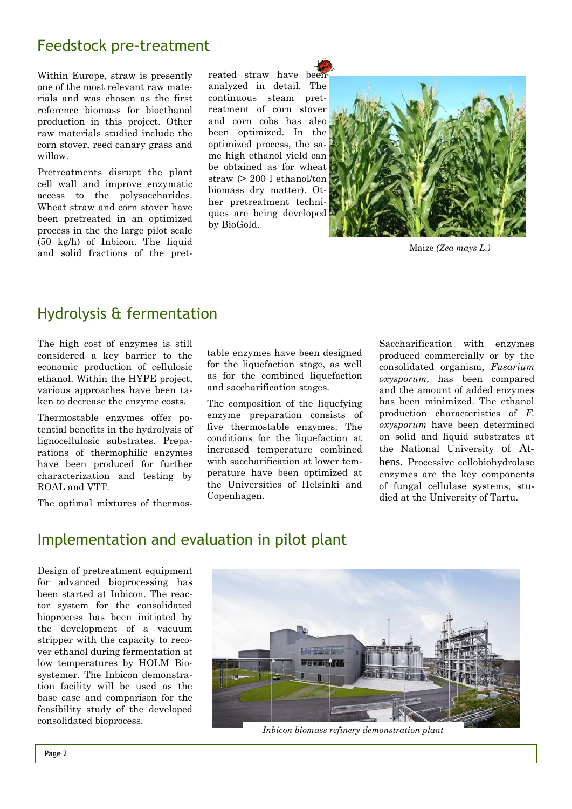#### Feedstock pre-treatment

Within Europe, straw is presently one of the most relevant raw materials and was chosen as the first reference biomass for bioethanol production in this project. Other raw materials studied include the corn stover, reed canary grass and willow.

Pretreatments disrupt the plant cell wall and improve enzymatic access to the polysaccharides. Wheat straw and corn stover have been pretreated in an optimized process in the the large pilot scale (50 kg/h) of Inbicon. The liquid and solid fractions of the pretreated straw have bee analyzed in detail. The continuous steam pretreatment of corn stover and corn cobs has also been optimized. In the optimized process, the same high ethanol yield can be obtained as for wheat straw (> 200 l ethanol/ton biomass dry matter). Other pretreatment techniques are being developed by BioGold.



Maize *(Zea mays L.)*

#### Hydrolysis & fermentation

The high cost of enzymes is still considered a key barrier to the economic production of cellulosic ethanol. Within the HYPE project, various approaches have been taken to decrease the enzyme costs.

Thermostable enzymes offer potential benefits in the hydrolysis of lignocellulosic substrates. Preparations of thermophilic enzymes have been produced for further characterization and testing by ROAL and VTT.

The optimal mixtures of thermos-

table enzymes have been designed for the liquefaction stage, as well as for the combined liquefaction and saccharification stages.

The composition of the liquefying enzyme preparation consists of five thermostable enzymes. The conditions for the liquefaction at increased temperature combined with saccharification at lower temperature have been optimized at the Universities of Helsinki and Copenhagen.

Saccharification with enzymes produced commercially or by the consolidated organism, *Fusarium oxysporum,* has been compared and the amount of added enzymes has been minimized. The ethanol production characteristics of *F. oxysporum* have been determined on solid and liquid substrates at the National University of Athens. Processive cellobiohydrolase enzymes are the key components of fungal cellulase systems, studied at the University of Tartu.

#### Implementation and evaluation in pilot plant

Design of pretreatment equipment for advanced bioprocessing has been started at Inbicon. The reactor system for the consolidated bioprocess has been initiated by the development of a vacuum stripper with the capacity to recover ethanol during fermentation at low temperatures by HOLM Biosystemer. The Inbicon demonstration facility will be used as the base case and comparison for the feasibility study of the developed consolidated bioprocess.



*Inbicon biomass refinery demonstration plant*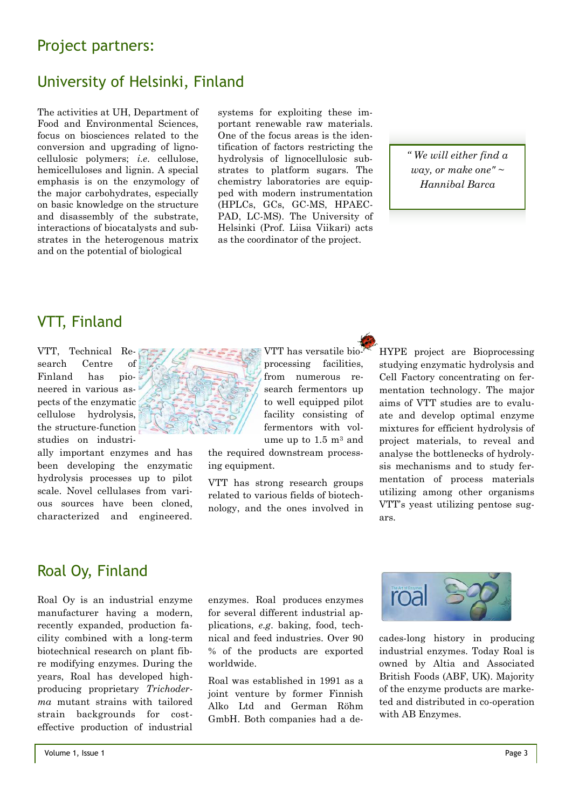#### Project partners:

#### University of Helsinki, Finland

The activities at UH, Department of Food and Environmental Sciences, focus on biosciences related to the conversion and upgrading of lignocellulosic polymers; *i.e*. cellulose, hemicelluloses and lignin. A special emphasis is on the enzymology of the major carbohydrates, especially on basic knowledge on the structure and disassembly of the substrate, interactions of biocatalysts and substrates in the heterogenous matrix and on the potential of biological

systems for exploiting these important renewable raw materials. One of the focus areas is the identification of factors restricting the hydrolysis of lignocellulosic substrates to platform sugars. The chemistry laboratories are equipped with modern instrumentation (HPLCs, GCs, GC-MS, HPAEC-PAD, LC-MS). The University of Helsinki (Prof. Liisa Viikari) acts as the coordinator of the project.

*" We will either find a way, or make one" ~ Hannibal Barca*

## VTT, Finland

VTT, Technical Research Centre of Finland has pioneered in various aspects of the enzymatic cellulose hydrolysis, the structure-function studies on industri-

ally important enzymes and has been developing the enzymatic hydrolysis processes up to pilot scale. Novel cellulases from various sources have been cloned, characterized and engineered.



from numerous research fermentors up to well equipped pilot facility consisting of fermentors with volume up to  $1.5 \text{ m}^3$  and

VTT has versatile bioprocessing facilities,

the required downstream processing equipment.

VTT has strong research groups related to various fields of biotechnology, and the ones involved in HYPE project are Bioprocessing studying enzymatic hydrolysis and Cell Factory concentrating on fermentation technology. The major aims of VTT studies are to evaluate and develop optimal enzyme mixtures for efficient hydrolysis of project materials, to reveal and analyse the bottlenecks of hydrolysis mechanisms and to study fermentation of process materials utilizing among other organisms VTT's yeast utilizing pentose sugars.

#### Roal Oy, Finland

Roal Oy is an industrial enzyme manufacturer having a modern, recently expanded, production facility combined with a long-term biotechnical research on plant fibre modifying enzymes. During the years, Roal has developed highproducing proprietary *Trichoderma* mutant strains with tailored strain backgrounds for costeffective production of industrial

enzymes. Roal produces enzymes for several different industrial applications, *e.g*. baking, food, technical and feed industries. Over 90 % of the products are exported worldwide.

Roal was established in 1991 as a joint venture by former Finnish Alko Ltd and German Röhm GmbH. Both companies had a de-



cades-long history in producing industrial enzymes. Today Roal is owned by Altia and Associated British Foods (ABF, UK). Majority of the enzyme products are marketed and distributed in co-operation with AB Enzymes.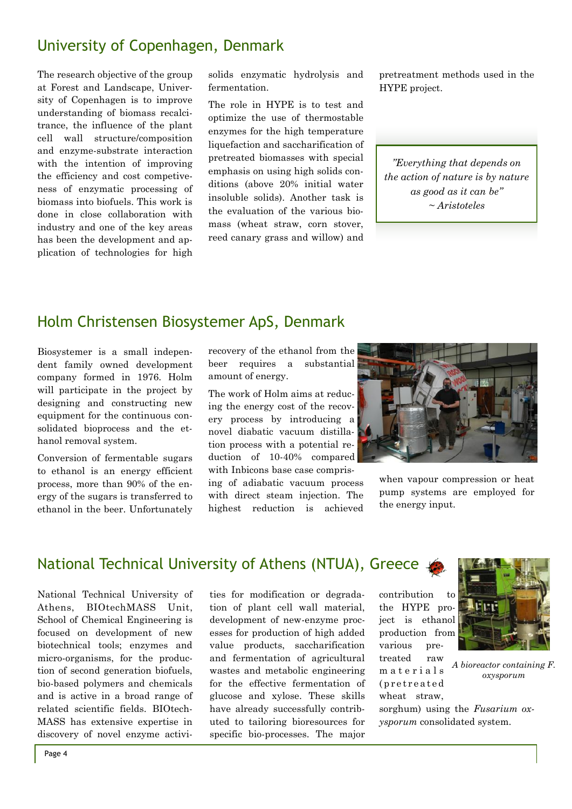## University of Copenhagen, Denmark

The research objective of the group at Forest and Landscape, University of Copenhagen is to improve understanding of biomass recalcitrance, the influence of the plant cell wall structure/composition and enzyme-substrate interaction with the intention of improving the efficiency and cost competiveness of enzymatic processing of biomass into biofuels. This work is done in close collaboration with industry and one of the key areas has been the development and application of technologies for high solids enzymatic hydrolysis and fermentation.

The role in HYPE is to test and optimize the use of thermostable enzymes for the high temperature liquefaction and saccharification of pretreated biomasses with special emphasis on using high solids conditions (above 20% initial water insoluble solids). Another task is the evaluation of the various biomass (wheat straw, corn stover, reed canary grass and willow) and

pretreatment methods used in the HYPE project.

*"Everything that depends on the action of nature is by nature as good as it can be" ~ Aristoteles*

## Holm Christensen Biosystemer ApS, Denmark

Biosystemer is a small independent family owned development company formed in 1976. Holm will participate in the project by designing and constructing new equipment for the continuous consolidated bioprocess and the ethanol removal system.

Conversion of fermentable sugars to ethanol is an energy efficient process, more than 90% of the energy of the sugars is transferred to ethanol in the beer. Unfortunately recovery of the ethanol from the beer requires a substantial amount of energy.

The work of Holm aims at reducing the energy cost of the recovery process by introducing a novel diabatic vacuum distillation process with a potential reduction of 10-40% compared with Inbicons base case compris-

ing of adiabatic vacuum process with direct steam injection. The highest reduction is achieved



when vapour compression or heat pump systems are employed for the energy input.

#### National Technical University of Athens (NTUA), Greece

National Technical University of Athens, BIOtechMASS Unit, School of Chemical Engineering is focused on development of new biotechnical tools; enzymes and micro-organisms, for the production of second generation biofuels, bio-based polymers and chemicals and is active in a broad range of related scientific fields. BIOtech-MASS has extensive expertise in discovery of novel enzyme activities for modification or degradation of plant cell wall material, development of new-enzyme processes for production of high added value products, saccharification and fermentation of agricultural wastes and metabolic engineering for the effective fermentation of glucose and xylose. These skills have already successfully contributed to tailoring bioresources for specific bio-processes. The major

contribution to the HYPE project is ethanol production from various pretreated raw m a t e r i a l s ( p r e t r e a t e d wheat straw, *A bioreactor containing F.* 

sorghum) using the *Fusarium oxysporum* consolidated system.

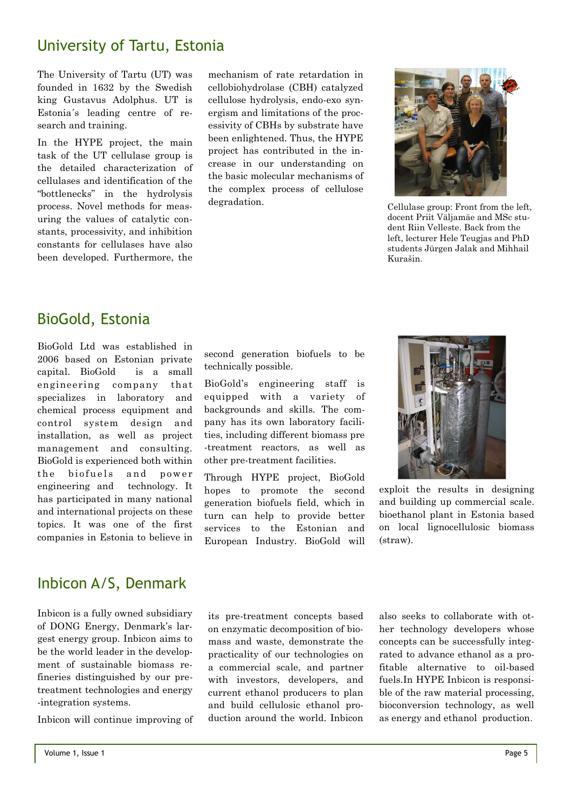#### University of Tartu, Estonia

The University of Tartu (UT) was founded in 1632 by the Swedish king Gustavus Adolphus. UT is Estonia´s leading centre of research and training.

In the HYPE project, the main task of the UT cellulase group is the detailed characterization of cellulases and identification of the "bottlenecks" in the hydrolysis process. Novel methods for measuring the values of catalytic constants, processivity, and inhibition constants for cellulases have also been developed. Furthermore, the mechanism of rate retardation in cellobiohydrolase (CBH) catalyzed cellulose hydrolysis, endo-exo synergism and limitations of the processivity of CBHs by substrate have been enlightened. Thus, the HYPE project has contributed in the increase in our understanding on the basic molecular mechanisms of the complex process of cellulose degradation.



Cellulase group: Front from the left, docent Priit Väljamäe and MSc student Riin Velleste. Back from the left, lecturer Hele Teugjas and PhD students Jürgen Jalak and Mihhail Kurašin.

#### BioGold, Estonia

BioGold Ltd was established in 2006 based on Estonian private capital. BioGold is a small engineering company that specializes in laboratory and chemical process equipment and control system design and installation, as well as project management and consulting. BioGold is experienced both within the biofuels and power engineering and technology. It has participated in many national and international projects on these topics. It was one of the first companies in Estonia to believe in

second generation biofuels to be technically possible.

BioGold's engineering staff is equipped with a variety of backgrounds and skills. The company has its own laboratory facilities, including different biomass pre -treatment reactors, as well as other pre-treatment facilities.

Through HYPE project, BioGold hopes to promote the second generation biofuels field, which in turn can help to provide better services to the Estonian and European Industry. BioGold will



exploit the results in designing and building up commercial scale. bioethanol plant in Estonia based on local lignocellulosic biomass (straw).

#### Inbicon A/S, Denmark

Inbicon is a fully owned subsidiary of DONG Energy, Denmark's largest energy group. Inbicon aims to be the world leader in the development of sustainable biomass refineries distinguished by our pretreatment technologies and energy -integration systems.

Inbicon will continue improving of

its pre-treatment concepts based on enzymatic decomposition of biomass and waste, demonstrate the practicality of our technologies on a commercial scale, and partner with investors, developers, and current ethanol producers to plan and build cellulosic ethanol production around the world. Inbicon also seeks to collaborate with other technology developers whose concepts can be successfully integrated to advance ethanol as a profitable alternative to oil-based fuels.In HYPE Inbicon is responsible of the raw material processing, bioconversion technology, as well as energy and ethanol production.